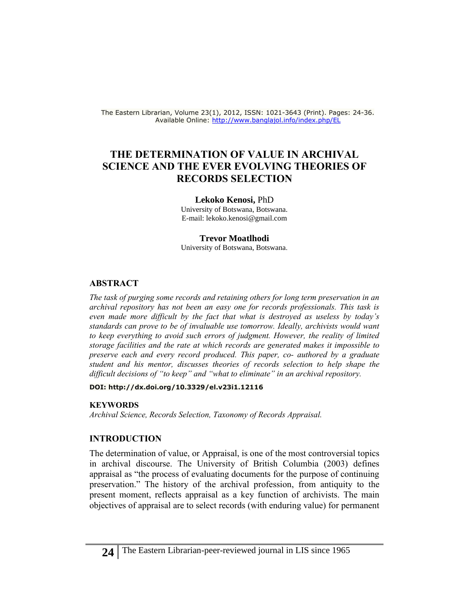The Eastern Librarian, Volume 23(1), 2012, ISSN: 1021-3643 (Print). Pages: 24-36. Available Online:<http://www.banglajol.info/index.php/EL>

# **THE DETERMINATION OF VALUE IN ARCHIVAL SCIENCE AND THE EVER EVOLVING THEORIES OF RECORDS SELECTION**

**Lekoko Kenosi,** PhD

University of Botswana, Botswana. E-mail: lekoko.kenosi@gmail.com

#### **Trevor Moatlhodi**

University of Botswana, Botswana.

#### **ABSTRACT**

*The task of purging some records and retaining others for long term preservation in an archival repository has not been an easy one for records professionals. This task is even made more difficult by the fact that what is destroyed as useless by today's standards can prove to be of invaluable use tomorrow. Ideally, archivists would want*  to keep everything to avoid such errors of judgment. However, the reality of limited *storage facilities and the rate at which records are generated makes it impossible to preserve each and every record produced. This paper, co- authored by a graduate student and his mentor, discusses theories of records selection to help shape the difficult decisions of "to keep" and "what to eliminate" in an archival repository.*

**DOI:<http://dx.doi.org/10.3329/el.v23i1.12116>**

#### **KEYWORDS**

*Archival Science, Records Selection, Taxonomy of Records Appraisal.* 

### **INTRODUCTION**

The determination of value, or Appraisal, is one of the most controversial topics in archival discourse. The University of British Columbia (2003) defines appraisal as "the process of evaluating documents for the purpose of continuing preservation." The history of the archival profession, from antiquity to the present moment, reflects appraisal as a key function of archivists. The main objectives of appraisal are to select records (with enduring value) for permanent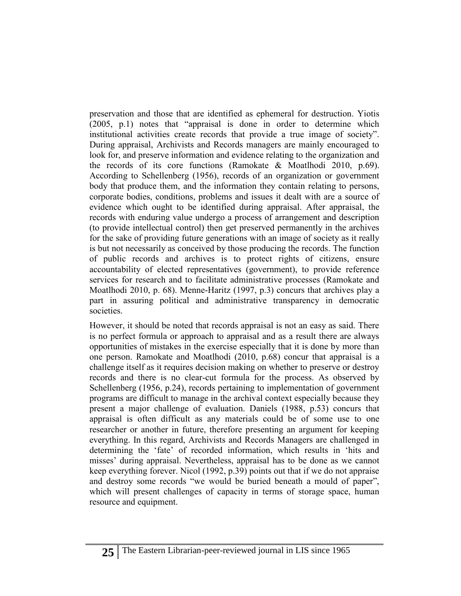preservation and those that are identified as ephemeral for destruction. Yiotis (2005, p.1) notes that "appraisal is done in order to determine which institutional activities create records that provide a true image of society". During appraisal, Archivists and Records managers are mainly encouraged to look for, and preserve information and evidence relating to the organization and the records of its core functions (Ramokate & Moatlhodi 2010, p.69). According to Schellenberg (1956), records of an organization or government body that produce them, and the information they contain relating to persons, corporate bodies, conditions, problems and issues it dealt with are a source of evidence which ought to be identified during appraisal. After appraisal, the records with enduring value undergo a process of arrangement and description (to provide intellectual control) then get preserved permanently in the archives for the sake of providing future generations with an image of society as it really is but not necessarily as conceived by those producing the records. The function of public records and archives is to protect rights of citizens, ensure accountability of elected representatives (government), to provide reference services for research and to facilitate administrative processes (Ramokate and Moatlhodi 2010, p. 68). Menne-Haritz (1997, p.3) concurs that archives play a part in assuring political and administrative transparency in democratic societies.

However, it should be noted that records appraisal is not an easy as said. There is no perfect formula or approach to appraisal and as a result there are always opportunities of mistakes in the exercise especially that it is done by more than one person. Ramokate and Moatlhodi (2010, p.68) concur that appraisal is a challenge itself as it requires decision making on whether to preserve or destroy records and there is no clear-cut formula for the process. As observed by Schellenberg (1956, p.24), records pertaining to implementation of government programs are difficult to manage in the archival context especially because they present a major challenge of evaluation. Daniels (1988, p.53) concurs that appraisal is often difficult as any materials could be of some use to one researcher or another in future, therefore presenting an argument for keeping everything. In this regard, Archivists and Records Managers are challenged in determining the 'fate' of recorded information, which results in 'hits and misses' during appraisal. Nevertheless, appraisal has to be done as we cannot keep everything forever. Nicol (1992, p.39) points out that if we do not appraise and destroy some records "we would be buried beneath a mould of paper", which will present challenges of capacity in terms of storage space, human resource and equipment.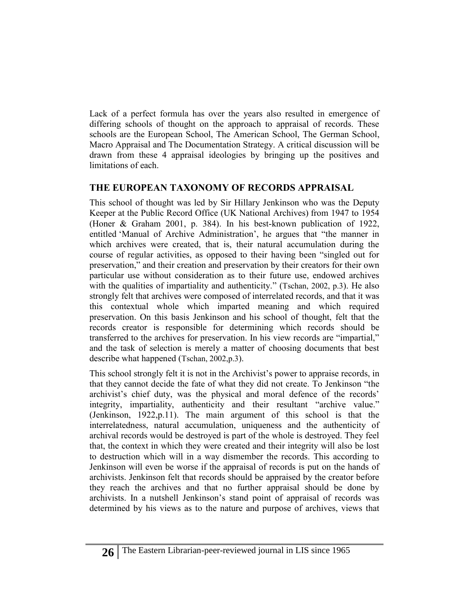Lack of a perfect formula has over the years also resulted in emergence of differing schools of thought on the approach to appraisal of records. These schools are the European School, The American School, The German School, Macro Appraisal and The Documentation Strategy. A critical discussion will be drawn from these 4 appraisal ideologies by bringing up the positives and limitations of each.

# **THE EUROPEAN TAXONOMY OF RECORDS APPRAISAL**

This school of thought was led by Sir Hillary Jenkinson who was the Deputy Keeper at the [Public Record Office](http://en.wikipedia.org/wiki/Public_Record_Office) (UK National Archives) from 1947 to 1954 (Honer & Graham 2001, p. 384). In his best-known publication of 1922, entitled 'Manual of Archive Administration', he argues that "the manner in which archives were created, that is, their natural accumulation during the course of regular activities, as opposed to their having been "singled out for preservation," and their creation and preservation by their creators for their own particular use without consideration as to their future use, endowed archives with the qualities of impartiality and authenticity." (Tschan, 2002, p.3). He also strongly felt that archives were composed of interrelated records, and that it was this contextual whole which imparted meaning and which required preservation. On this basis Jenkinson and his school of thought, felt that the records creator is responsible for determining which records should be transferred to the archives for preservation. In his view records are "impartial," and the task of selection is merely a matter of choosing documents that best describe what happened (Tschan, 2002,p.3).

This school strongly felt it is not in the Archivist's power to appraise records, in that they cannot decide the fate of what they did not create. To Jenkinson "the archivist's chief duty, was the physical and moral defence of the records' integrity, impartiality, authenticity and their resultant "archive value." (Jenkinson, 1922,p.11). The main argument of this school is that the interrelatedness, natural accumulation, uniqueness and the authenticity of archival records would be destroyed is part of the whole is destroyed. They feel that, the context in which they were created and their integrity will also be lost to destruction which will in a way dismember the records. This according to Jenkinson will even be worse if the appraisal of records is put on the hands of archivists. Jenkinson felt that records should be appraised by the creator before they reach the archives and that no further appraisal should be done by archivists. In a nutshell Jenkinson's stand point of appraisal of records was determined by his views as to the nature and purpose of archives, views that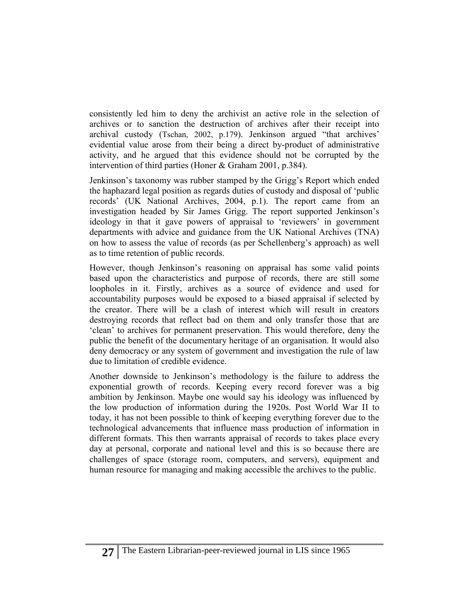consistently led him to deny the archivist an active role in the selection of archives or to sanction the destruction of archives after their receipt into archival custody (Tschan, 2002, p.179). Jenkinson argued "that archives' evidential value arose from their being a direct by-product of administrative activity, and he argued that this evidence should not be corrupted by the intervention of third parties (Honer & Graham 2001, p.384).

Jenkinson's taxonomy was rubber stamped by the Grigg's Report which ended the haphazard legal position as regards duties of custody and disposal of 'public records' (UK National Archives, 2004, p.1). The report came from an investigation headed by Sir James Grigg. The report supported Jenkinson's ideology in that it gave powers of appraisal to 'reviewers' in government departments with advice and guidance from the UK National Archives (TNA) on how to assess the value of records (as per Schellenberg's approach) as well as to time retention of public records.

However, though Jenkinson's reasoning on appraisal has some valid points based upon the characteristics and purpose of records, there are still some loopholes in it. Firstly, archives as a source of evidence and used for accountability purposes would be exposed to a biased appraisal if selected by the creator. There will be a clash of interest which will result in creators destroying records that reflect bad on them and only transfer those that are 'clean' to archives for permanent preservation. This would therefore, deny the public the benefit of the documentary heritage of an organisation. It would also deny democracy or any system of government and investigation the rule of law due to limitation of credible evidence.

Another downside to Jenkinson's methodology is the failure to address the exponential growth of records. Keeping every record forever was a big ambition by Jenkinson. Maybe one would say his ideology was influenced by the low production of information during the 1920s. Post World War II to today, it has not been possible to think of keeping everything forever due to the technological advancements that influence mass production of information in different formats. This then warrants appraisal of records to takes place every day at personal, corporate and national level and this is so because there are challenges of space (storage room, computers, and servers), equipment and human resource for managing and making accessible the archives to the public.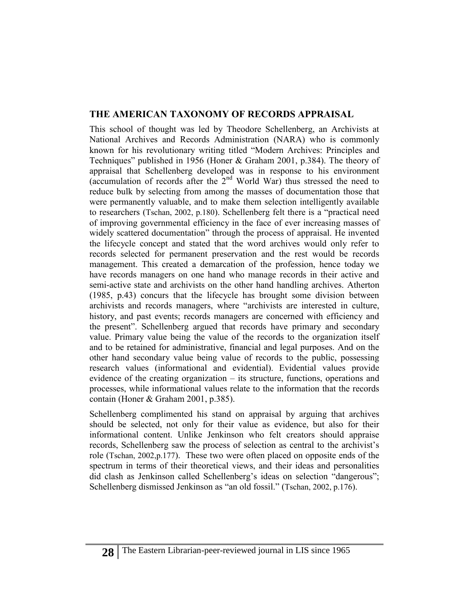### **THE AMERICAN TAXONOMY OF RECORDS APPRAISAL**

This school of thought was led by Theodore Schellenberg, an Archivists at National Archives and Records Administration (NARA) who is commonly known for his revolutionary writing titled "Modern Archives: Principles and Techniques" published in 1956 (Honer & Graham 2001, p.384). The theory of appraisal that Schellenberg developed was in response to his environment (accumulation of records after the  $2<sup>nd</sup>$  World War) thus stressed the need to reduce bulk by selecting from among the masses of documentation those that were permanently valuable, and to make them selection intelligently available to researchers (Tschan, 2002, p.180). Schellenberg felt there is a "practical need of improving governmental efficiency in the face of ever increasing masses of widely scattered documentation" through the process of appraisal. He invented the lifecycle concept and stated that the word archives would only refer to records selected for permanent preservation and the rest would be records management. This created a demarcation of the profession, hence today we have records managers on one hand who manage records in their active and semi-active state and archivists on the other hand handling archives. Atherton (1985, p.43) concurs that the lifecycle has brought some division between archivists and records managers, where "archivists are interested in culture, history, and past events; records managers are concerned with efficiency and the present". Schellenberg argued that records have primary and secondary value. Primary value being the value of the records to the organization itself and to be retained for administrative, financial and legal purposes. And on the other hand secondary value being value of records to the public, possessing research values (informational and evidential). Evidential values provide evidence of the creating organization – its structure, functions, operations and processes, while informational values relate to the information that the records contain (Honer & Graham 2001, p.385).

Schellenberg complimented his stand on appraisal by arguing that archives should be selected, not only for their value as evidence, but also for their informational content. Unlike Jenkinson who felt creators should appraise records, Schellenberg saw the process of selection as central to the archivist's role (Tschan, 2002,p.177). These two were often placed on opposite ends of the spectrum in terms of their theoretical views, and their ideas and personalities did clash as Jenkinson called Schellenberg's ideas on selection "dangerous"; Schellenberg dismissed Jenkinson as "an old fossil." (Tschan, 2002, p.176).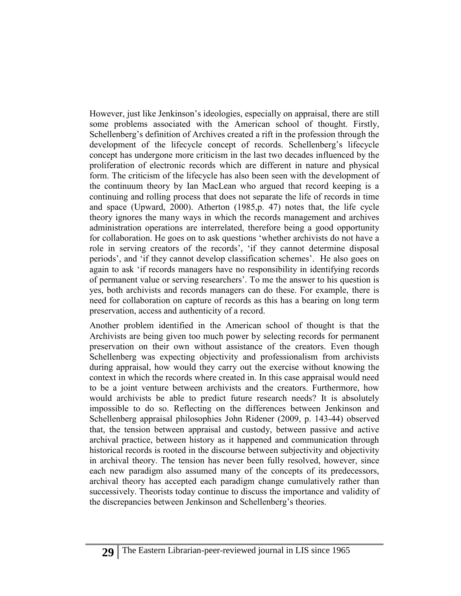However, just like Jenkinson's ideologies, especially on appraisal, there are still some problems associated with the American school of thought. Firstly, Schellenberg's definition of Archives created a rift in the profession through the development of the lifecycle concept of records. Schellenberg's lifecycle concept has undergone more criticism in the last two decades influenced by the proliferation of electronic records which are different in nature and physical form. The criticism of the lifecycle has also been seen with the development of the continuum theory by Ian MacLean who argued that record keeping is a continuing and rolling process that does not separate the life of records in time and space (Upward, 2000). Atherton (1985,p. 47) notes that, the life cycle theory ignores the many ways in which the records management and archives administration operations are interrelated, therefore being a good opportunity for collaboration. He goes on to ask questions 'whether archivists do not have a role in serving creators of the records', 'if they cannot determine disposal periods', and 'if they cannot develop classification schemes'. He also goes on again to ask 'if records managers have no responsibility in identifying records of permanent value or serving researchers'. To me the answer to his question is yes, both archivists and records managers can do these. For example, there is need for collaboration on capture of records as this has a bearing on long term preservation, access and authenticity of a record.

Another problem identified in the American school of thought is that the Archivists are being given too much power by selecting records for permanent preservation on their own without assistance of the creators. Even though Schellenberg was expecting objectivity and professionalism from archivists during appraisal, how would they carry out the exercise without knowing the context in which the records where created in. In this case appraisal would need to be a joint venture between archivists and the creators. Furthermore, how would archivists be able to predict future research needs? It is absolutely impossible to do so. Reflecting on the differences between Jenkinson and Schellenberg appraisal philosophies John Ridener (2009, p. 143-44) observed that, the tension between appraisal and custody, between passive and active archival practice, between history as it happened and communication through historical records is rooted in the discourse between subjectivity and objectivity in archival theory. The tension has never been fully resolved, however, since each new paradigm also assumed many of the concepts of its predecessors, archival theory has accepted each paradigm change cumulatively rather than successively. Theorists today continue to discuss the importance and validity of the discrepancies between Jenkinson and Schellenberg's theories.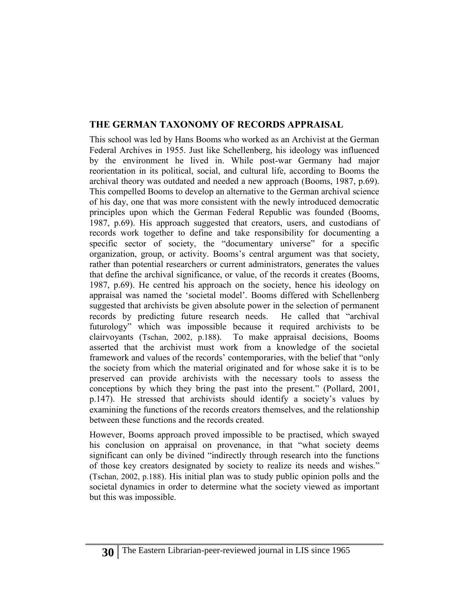### **THE GERMAN TAXONOMY OF RECORDS APPRAISAL**

This school was led by Hans Booms who worked as an Archivist at the German Federal Archives in 1955. Just like Schellenberg, his ideology was influenced by the environment he lived in. While post-war Germany had major reorientation in its political, social, and cultural life, according to Booms the archival theory was outdated and needed a new approach (Booms, 1987, p.69). This compelled Booms to develop an alternative to the German archival science of his day, one that was more consistent with the newly introduced democratic principles upon which the German Federal Republic was founded (Booms, 1987, p.69). His approach suggested that creators, users, and custodians of records work together to define and take responsibility for documenting a specific sector of society, the "documentary universe" for a specific organization, group, or activity. Booms's central argument was that society, rather than potential researchers or current administrators, generates the values that define the archival significance, or value, of the records it creates (Booms, 1987, p.69). He centred his approach on the society, hence his ideology on appraisal was named the 'societal model'. Booms differed with Schellenberg suggested that archivists be given absolute power in the selection of permanent records by predicting future research needs. He called that "archival futurology" which was impossible because it required archivists to be clairvoyants (Tschan, 2002, p.188). To make appraisal decisions, Booms asserted that the archivist must work from a knowledge of the societal framework and values of the records' contemporaries, with the belief that "only the society from which the material originated and for whose sake it is to be preserved can provide archivists with the necessary tools to assess the conceptions by which they bring the past into the present." (Pollard, 2001, p.147). He stressed that archivists should identify a society's values by examining the functions of the records creators themselves, and the relationship between these functions and the records created.

However, Booms approach proved impossible to be practised, which swayed his conclusion on appraisal on provenance, in that "what society deems significant can only be divined "indirectly through research into the functions of those key creators designated by society to realize its needs and wishes." (Tschan, 2002, p.188). His initial plan was to study public opinion polls and the societal dynamics in order to determine what the society viewed as important but this was impossible.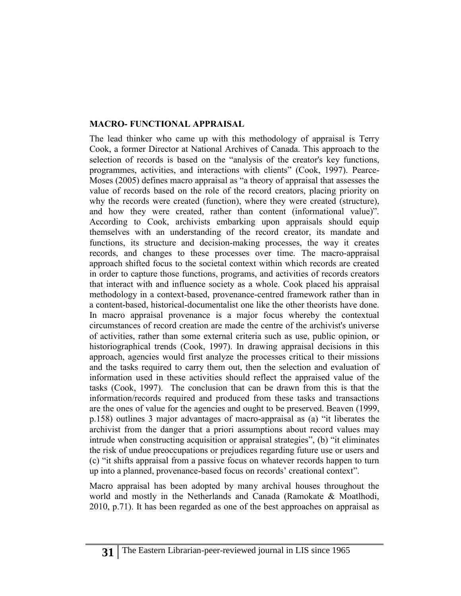## **MACRO- FUNCTIONAL APPRAISAL**

The lead thinker who came up with this methodology of appraisal is Terry Cook, a former Director at National Archives of Canada. This approach to the selection of records is based on the "analysis of the creator's key functions, programmes, activities, and interactions with clients" (Cook, 1997). Pearce-Moses (2005) defines macro appraisal as "a theory of appraisal that assesses the value of records based on the role of the record creators, placing priority on why the records were created (function), where they were created (structure), and how they were created, rather than content (informational value)". According to Cook, archivists embarking upon appraisals should equip themselves with an understanding of the record creator, its mandate and functions, its structure and decision-making processes, the way it creates records, and changes to these processes over time. The macro-appraisal approach shifted focus to the societal context within which records are created in order to capture those functions, programs, and activities of records creators that interact with and influence society as a whole. Cook placed his appraisal methodology in a context-based, provenance-centred framework rather than in a content-based, historical-documentalist one like the other theorists have done. In macro appraisal provenance is a major focus whereby the contextual circumstances of record creation are made the centre of the archivist's universe of activities, rather than some external criteria such as use, public opinion, or historiographical trends (Cook, 1997). In drawing appraisal decisions in this approach, agencies would first analyze the processes critical to their missions and the tasks required to carry them out, then the selection and evaluation of information used in these activities should reflect the appraised value of the tasks (Cook, 1997). The conclusion that can be drawn from this is that the information/records required and produced from these tasks and transactions are the ones of value for the agencies and ought to be preserved. Beaven (1999, p.158) outlines 3 major advantages of macro-appraisal as (a) "it liberates the archivist from the danger that a priori assumptions about record values may intrude when constructing acquisition or appraisal strategies", (b) "it eliminates the risk of undue preoccupations or prejudices regarding future use or users and (c) "it shifts appraisal from a passive focus on whatever records happen to turn up into a planned, provenance-based focus on records' creational context".

Macro appraisal has been adopted by many archival houses throughout the world and mostly in the Netherlands and Canada (Ramokate & Moatlhodi, 2010, p.71). It has been regarded as one of the best approaches on appraisal as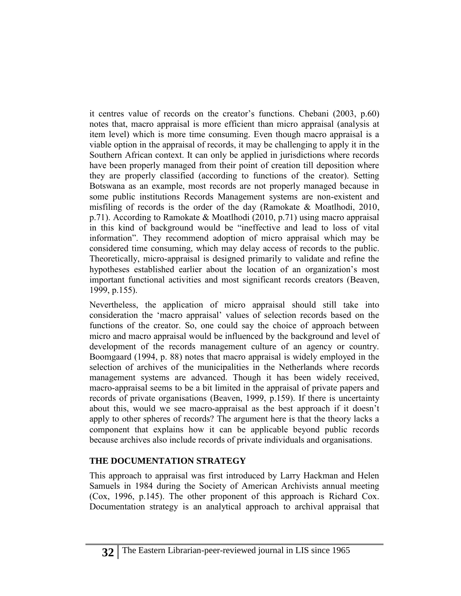it centres value of records on the creator's functions. Chebani (2003, p.60) notes that, macro appraisal is more efficient than micro appraisal (analysis at item level) which is more time consuming. Even though macro appraisal is a viable option in the appraisal of records, it may be challenging to apply it in the Southern African context. It can only be applied in jurisdictions where records have been properly managed from their point of creation till deposition where they are properly classified (according to functions of the creator). Setting Botswana as an example, most records are not properly managed because in some public institutions Records Management systems are non-existent and misfiling of records is the order of the day (Ramokate & Moatlhodi, 2010, p.71). According to Ramokate & Moatlhodi (2010, p.71) using macro appraisal in this kind of background would be "ineffective and lead to loss of vital information". They recommend adoption of micro appraisal which may be considered time consuming, which may delay access of records to the public. Theoretically, micro-appraisal is designed primarily to validate and refine the hypotheses established earlier about the location of an organization's most important functional activities and most significant records creators (Beaven, 1999, p.155).

Nevertheless, the application of micro appraisal should still take into consideration the 'macro appraisal' values of selection records based on the functions of the creator. So, one could say the choice of approach between micro and macro appraisal would be influenced by the background and level of development of the records management culture of an agency or country. Boomgaard (1994, p. 88) notes that macro appraisal is widely employed in the selection of archives of the municipalities in the Netherlands where records management systems are advanced. Though it has been widely received, macro-appraisal seems to be a bit limited in the appraisal of private papers and records of private organisations (Beaven, 1999, p.159). If there is uncertainty about this, would we see macro-appraisal as the best approach if it doesn't apply to other spheres of records? The argument here is that the theory lacks a component that explains how it can be applicable beyond public records because archives also include records of private individuals and organisations.

## **THE DOCUMENTATION STRATEGY**

This approach to appraisal was first introduced by Larry Hackman and Helen Samuels in 1984 during the Society of American Archivists annual meeting (Cox, 1996, p.145). The other proponent of this approach is Richard Cox. Documentation strategy is an analytical approach to archival appraisal that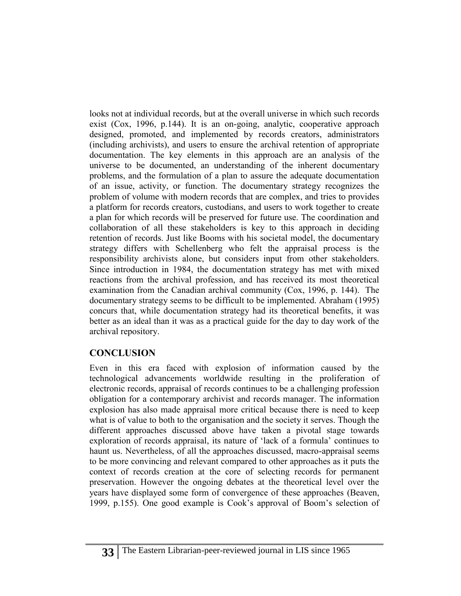looks not at individual records, but at the overall universe in which such records exist (Cox, 1996, p.144). It is an on-going, analytic, cooperative approach designed, promoted, and implemented by records creators, administrators (including archivists), and users to ensure the archival retention of appropriate documentation. The key elements in this approach are an analysis of the universe to be documented, an understanding of the inherent documentary problems, and the formulation of a plan to assure the adequate documentation of an issue, activity, or function. The documentary strategy recognizes the problem of volume with modern records that are complex, and tries to provides a platform for records creators, custodians, and users to work together to create a plan for which records will be preserved for future use. The coordination and collaboration of all these stakeholders is key to this approach in deciding retention of records. Just like Booms with his societal model, the documentary strategy differs with Schellenberg who felt the appraisal process is the responsibility archivists alone, but considers input from other stakeholders. Since introduction in 1984, the documentation strategy has met with mixed reactions from the archival profession, and has received its most theoretical examination from the Canadian archival community (Cox, 1996, p. 144). The documentary strategy seems to be difficult to be implemented. Abraham (1995) concurs that, while documentation strategy had its theoretical benefits, it was better as an ideal than it was as a practical guide for the day to day work of the archival repository.

# **CONCLUSION**

Even in this era faced with explosion of information caused by the technological advancements worldwide resulting in the proliferation of electronic records, appraisal of records continues to be a challenging profession obligation for a contemporary archivist and records manager. The information explosion has also made appraisal more critical because there is need to keep what is of value to both to the organisation and the society it serves. Though the different approaches discussed above have taken a pivotal stage towards exploration of records appraisal, its nature of 'lack of a formula' continues to haunt us. Nevertheless, of all the approaches discussed, macro-appraisal seems to be more convincing and relevant compared to other approaches as it puts the context of records creation at the core of selecting records for permanent preservation. However the ongoing debates at the theoretical level over the years have displayed some form of convergence of these approaches (Beaven, 1999, p.155). One good example is Cook's approval of Boom's selection of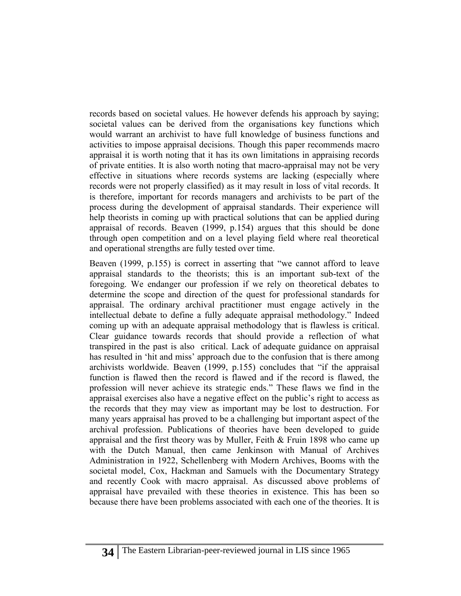records based on societal values. He however defends his approach by saying; societal values can be derived from the organisations key functions which would warrant an archivist to have full knowledge of business functions and activities to impose appraisal decisions. Though this paper recommends macro appraisal it is worth noting that it has its own limitations in appraising records of private entities. It is also worth noting that macro-appraisal may not be very effective in situations where records systems are lacking (especially where records were not properly classified) as it may result in loss of vital records. It is therefore, important for records managers and archivists to be part of the process during the development of appraisal standards. Their experience will help theorists in coming up with practical solutions that can be applied during appraisal of records. Beaven (1999, p.154) argues that this should be done through open competition and on a level playing field where real theoretical and operational strengths are fully tested over time.

Beaven (1999, p.155) is correct in asserting that "we cannot afford to leave appraisal standards to the theorists; this is an important sub-text of the foregoing. We endanger our profession if we rely on theoretical debates to determine the scope and direction of the quest for professional standards for appraisal. The ordinary archival practitioner must engage actively in the intellectual debate to define a fully adequate appraisal methodology." Indeed coming up with an adequate appraisal methodology that is flawless is critical. Clear guidance towards records that should provide a reflection of what transpired in the past is also critical. Lack of adequate guidance on appraisal has resulted in 'hit and miss' approach due to the confusion that is there among archivists worldwide. Beaven (1999, p.155) concludes that "if the appraisal function is flawed then the record is flawed and if the record is flawed, the profession will never achieve its strategic ends." These flaws we find in the appraisal exercises also have a negative effect on the public's right to access as the records that they may view as important may be lost to destruction. For many years appraisal has proved to be a challenging but important aspect of the archival profession. Publications of theories have been developed to guide appraisal and the first theory was by Muller, Feith & Fruin 1898 who came up with the Dutch Manual, then came Jenkinson with Manual of Archives Administration in 1922, Schellenberg with Modern Archives, Booms with the societal model, Cox, Hackman and Samuels with the Documentary Strategy and recently Cook with macro appraisal. As discussed above problems of appraisal have prevailed with these theories in existence. This has been so because there have been problems associated with each one of the theories. It is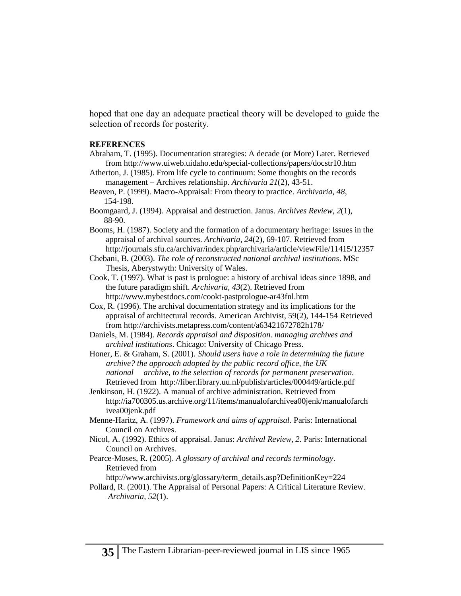hoped that one day an adequate practical theory will be developed to guide the selection of records for posterity.

#### **REFERENCES**

- Abraham, T. (1995). Documentation strategies: A decade (or More) Later. Retrieved from<http://www.uiweb.uidaho.edu/special-collections/papers/docstr10.htm>
- Atherton, J. (1985). From life cycle to continuum: Some thoughts on the records management – Archives relationship. *Archivaria 21*(2), 43-51.
- Beaven, P. (1999). Macro-Appraisal: From theory to practice. *Archivaria, 48*, 154-198.
- Boomgaard, J. (1994). Appraisal and destruction. Janus. *Archives Review, 2*(1), 88-90.
- Booms, H. (1987). Society and the formation of a documentary heritage: Issues in the appraisal of archival sources. *Archivaria, 24*(2), 69-107. Retrieved from <http://journals.sfu.ca/archivar/index.php/archivaria/article/viewFile/11415/12357>
- Chebani, B. (2003). *The role of reconstructed national archival institutions*. MSc Thesis, Aberystwyth: University of Wales.
- Cook, T. (1997). What is past is prologue: a history of archival ideas since 1898, and the future paradigm shift. *Archivaria, 43*(2). Retrieved from <http://www.mybestdocs.com/cookt-pastprologue-ar43fnl.htm>
- Cox, R. (1996). The archival documentation strategy and its implications for the appraisal of architectural records. American Archivist, 59(2), 144-154 Retrieved from<http://archivists.metapress.com/content/a63421672782h178/>
- Daniels, M. (1984). *Records appraisal and disposition. managing archives and archival institutions*. Chicago: University of Chicago Press.
- Honer, E. & Graham, S. (2001). *Should users have a role in determining the future archive? the approach adopted by the public record office, the UK national archive, to the selection of records for permanent preservation*. Retrieved from <http://liber.library.uu.nl/publish/articles/000449/article.pdf>
- Jenkinson, H. (1922). A manual of archive administration. Retrieved from http://ia700305.us.archive.org/11/items/manualofarchivea00jenk/manualofarch ivea00jenk.pdf
- Menne-Haritz, A. (1997). *Framework and aims of appraisal*. Paris: International Council on Archives.
- Nicol, A. (1992). Ethics of appraisal. Janus: *Archival Review, 2*. Paris: International Council on Archives.
- Pearce-Moses, R. (2005). *A glossary of archival and records terminology*. Retrieved from

[http://www.archivists.org/glossary/term\\_details.asp?DefinitionKey=224](http://www.archivists.org/glossary/term_details.asp?DefinitionKey=224)

Pollard, R. (2001). The Appraisal of Personal Papers: A Critical Literature Review. *Archivaria, 52*(1).